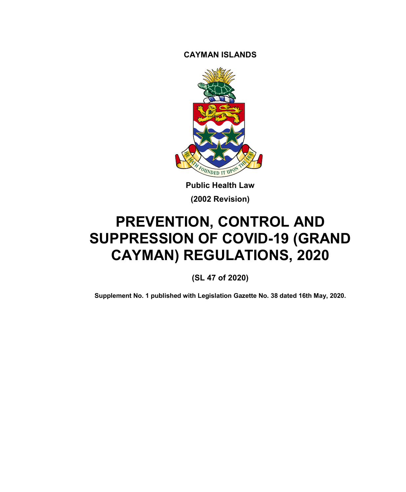**CAYMAN ISLANDS**



**Public Health Law (2002 Revision)**

# **PREVENTION, CONTROL AND SUPPRESSION OF COVID-19 (GRAND CAYMAN) REGULATIONS, 2020**

**(SL 47 of 2020)**

**Supplement No. 1 published with Legislation Gazette No. 38 dated 16th May, 2020.**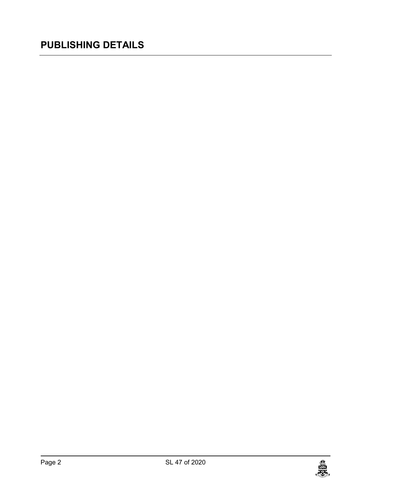# **PUBLISHING DETAILS**

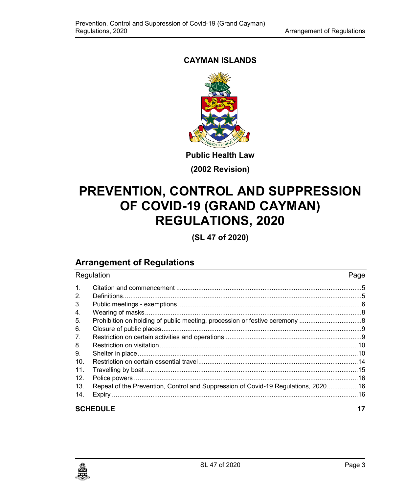## **CAYMAN ISLANDS**



**Public Health Law**

**(2002 Revision)**

# **PREVENTION, CONTROL AND SUPPRESSION OF COVID-19 (GRAND CAYMAN) REGULATIONS, 2020**

**(SL 47 of 2020)**

## **Arrangement of Regulations**

| Regulation      |                                                                                    | Page |
|-----------------|------------------------------------------------------------------------------------|------|
| $\mathbf{1}$ .  |                                                                                    |      |
| 2.              |                                                                                    |      |
| 3.              |                                                                                    |      |
| 4.              |                                                                                    |      |
| 5.              |                                                                                    |      |
| 6.              |                                                                                    |      |
| 7.              |                                                                                    |      |
| 8.              |                                                                                    |      |
| 9.              |                                                                                    |      |
| 10.             |                                                                                    |      |
| 11.             |                                                                                    |      |
| 12.             |                                                                                    |      |
| 13.             | Repeal of the Prevention, Control and Suppression of Covid-19 Regulations, 2020 16 |      |
| 14.             |                                                                                    |      |
| <b>SCHEDULE</b> |                                                                                    | 17   |

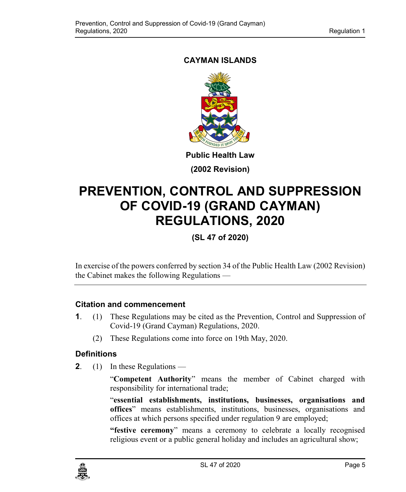## <span id="page-4-0"></span>**CAYMAN ISLANDS**



**(2002 Revision)**

# **PREVENTION, CONTROL AND SUPPRESSION OF COVID-19 (GRAND CAYMAN) REGULATIONS, 2020**

## **(SL 47 of 2020)**

In exercise of the powers conferred by section 34 of the Public Health Law (2002 Revision) the Cabinet makes the following Regulations —

## **1. Citation and commencement**

- **1**. (1) These Regulations may be cited as the Prevention, Control and Suppression of Covid-19 (Grand Cayman) Regulations, 2020.
	- (2) These Regulations come into force on 19th May, 2020.

## <span id="page-4-1"></span>**2. Definitions**

**2**. (1) In these Regulations —

"**Competent Authority**" means the member of Cabinet charged with responsibility for international trade;

"**essential establishments, institutions, businesses, organisations and offices**" means establishments, institutions, businesses, organisations and offices at which persons specified under regulation 9 are employed;

**"festive ceremony**" means a ceremony to celebrate a locally recognised religious event or a public general holiday and includes an agricultural show;

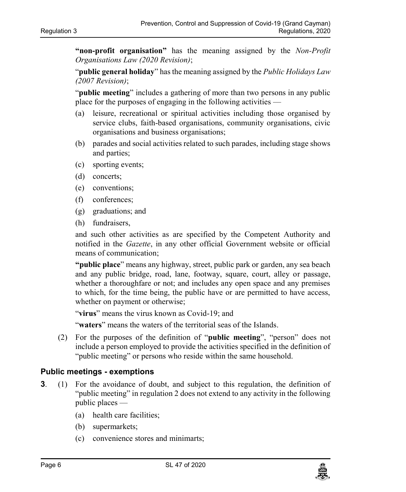**"non-profit organisation"** has the meaning assigned by the *Non-Profit Organisations Law (2020 Revision)*;

"**public general holiday**" has the meaning assigned by the *Public Holidays Law (2007 Revision)*;

"**public meeting**" includes a gathering of more than two persons in any public place for the purposes of engaging in the following activities —

- (a) leisure, recreational or spiritual activities including those organised by service clubs, faith-based organisations, community organisations, civic organisations and business organisations;
- (b) parades and social activities related to such parades, including stage shows and parties;
- (c) sporting events;
- (d) concerts;
- (e) conventions;
- (f) conferences;
- (g) graduations; and
- (h) fundraisers,

and such other activities as are specified by the Competent Authority and notified in the *Gazette*, in any other official Government website or official means of communication;

**"public place**" means any highway, street, public park or garden, any sea beach and any public bridge, road, lane, footway, square, court, alley or passage, whether a thoroughfare or not; and includes any open space and any premises to which, for the time being, the public have or are permitted to have access, whether on payment or otherwise;

"**virus**" means the virus known as Covid-19; and

"**waters**" means the waters of the territorial seas of the Islands.

(2) For the purposes of the definition of "**public meeting**", "person" does not include a person employed to provide the activities specified in the definition of "public meeting" or persons who reside within the same household.

#### <span id="page-5-0"></span>**3. Public meetings - exemptions**

- **3**. (1) For the avoidance of doubt, and subject to this regulation, the definition of "public meeting" in regulation 2 does not extend to any activity in the following public places —
	- (a) health care facilities;
	- (b) supermarkets;
	- (c) convenience stores and minimarts;

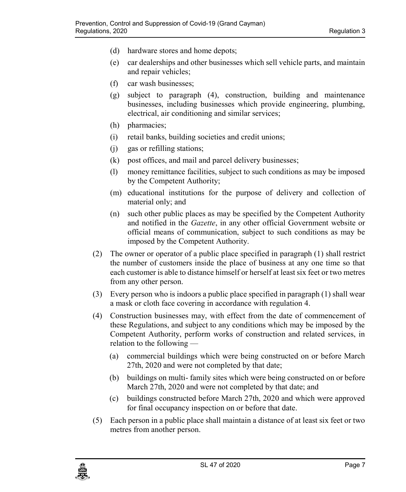- (d) hardware stores and home depots;
- (e) car dealerships and other businesses which sell vehicle parts, and maintain and repair vehicles;
- (f) car wash businesses;
- (g) subject to paragraph (4), construction, building and maintenance businesses, including businesses which provide engineering, plumbing, electrical, air conditioning and similar services;
- (h) pharmacies;
- (i) retail banks, building societies and credit unions;
- (j) gas or refilling stations;
- (k) post offices, and mail and parcel delivery businesses;
- (l) money remittance facilities, subject to such conditions as may be imposed by the Competent Authority;
- (m) educational institutions for the purpose of delivery and collection of material only; and
- (n) such other public places as may be specified by the Competent Authority and notified in the *Gazette*, in any other official Government website or official means of communication, subject to such conditions as may be imposed by the Competent Authority.
- (2) The owner or operator of a public place specified in paragraph (1) shall restrict the number of customers inside the place of business at any one time so that each customer is able to distance himself or herself at least six feet or two metres from any other person.
- (3) Every person who is indoors a public place specified in paragraph (1) shall wear a mask or cloth face covering in accordance with regulation 4.
- (4) Construction businesses may, with effect from the date of commencement of these Regulations, and subject to any conditions which may be imposed by the Competent Authority, perform works of construction and related services, in relation to the following —
	- (a) commercial buildings which were being constructed on or before March 27th, 2020 and were not completed by that date;
	- (b) buildings on multi- family sites which were being constructed on or before March 27th, 2020 and were not completed by that date; and
	- (c) buildings constructed before March 27th, 2020 and which were approved for final occupancy inspection on or before that date.
- (5) Each person in a public place shall maintain a distance of at least six feet or two metres from another person.

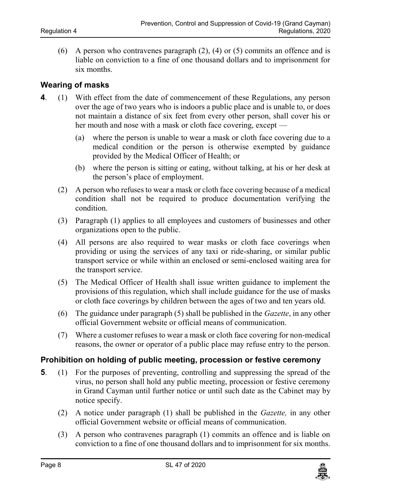(6) A person who contravenes paragraph (2), (4) or (5) commits an offence and is liable on conviction to a fine of one thousand dollars and to imprisonment for six months.

#### <span id="page-7-0"></span>**4. Wearing of masks**

- **4**. (1) With effect from the date of commencement of these Regulations, any person over the age of two years who is indoors a public place and is unable to, or does not maintain a distance of six feet from every other person, shall cover his or her mouth and nose with a mask or cloth face covering, except —
	- (a) where the person is unable to wear a mask or cloth face covering due to a medical condition or the person is otherwise exempted by guidance provided by the Medical Officer of Health; or
	- (b) where the person is sitting or eating, without talking, at his or her desk at the person's place of employment.
	- (2) A person who refuses to wear a mask or cloth face covering because of a medical condition shall not be required to produce documentation verifying the condition.
	- (3) Paragraph (1) applies to all employees and customers of businesses and other organizations open to the public.
	- (4) All persons are also required to wear masks or cloth face coverings when providing or using the services of any taxi or ride-sharing, or similar public transport service or while within an enclosed or semi-enclosed waiting area for the transport service.
	- (5) The Medical Officer of Health shall issue written guidance to implement the provisions of this regulation, which shall include guidance for the use of masks or cloth face coverings by children between the ages of two and ten years old.
	- (6) The guidance under paragraph (5) shall be published in the *Gazette*, in any other official Government website or official means of communication.
	- (7) Where a customer refuses to wear a mask or cloth face covering for non-medical reasons, the owner or operator of a public place may refuse entry to the person.

#### <span id="page-7-1"></span>**5. Prohibition on holding of public meeting, procession or festive ceremony**

- **5**. (1) For the purposes of preventing, controlling and suppressing the spread of the virus, no person shall hold any public meeting, procession or festive ceremony in Grand Cayman until further notice or until such date as the Cabinet may by notice specify.
	- (2) A notice under paragraph (1) shall be published in the *Gazette,* in any other official Government website or official means of communication.
	- (3) A person who contravenes paragraph (1) commits an offence and is liable on conviction to a fine of one thousand dollars and to imprisonment for six months.

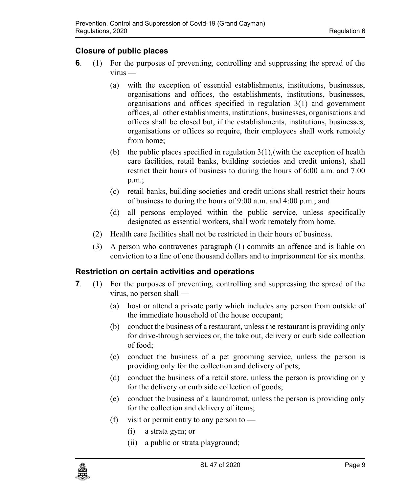## <span id="page-8-0"></span>**6. Closure of public places**

- **6**. (1) For the purposes of preventing, controlling and suppressing the spread of the virus —
	- (a) with the exception of essential establishments, institutions, businesses, organisations and offices, the establishments, institutions, businesses, organisations and offices specified in regulation 3(1) and government offices, all other establishments, institutions, businesses, organisations and offices shall be closed but, if the establishments, institutions, businesses, organisations or offices so require, their employees shall work remotely from home;
	- (b) the public places specified in regulation  $3(1)$ , (with the exception of health care facilities, retail banks, building societies and credit unions), shall restrict their hours of business to during the hours of 6:00 a.m. and 7:00 p.m.;
	- (c) retail banks, building societies and credit unions shall restrict their hours of business to during the hours of 9:00 a.m. and 4:00 p.m.; and
	- (d) all persons employed within the public service, unless specifically designated as essential workers, shall work remotely from home.
	- (2) Health care facilities shall not be restricted in their hours of business.
	- (3) A person who contravenes paragraph (1) commits an offence and is liable on conviction to a fine of one thousand dollars and to imprisonment for six months.

## <span id="page-8-1"></span>**7. Restriction on certain activities and operations**

- **7**. (1) For the purposes of preventing, controlling and suppressing the spread of the virus, no person shall —
	- (a) host or attend a private party which includes any person from outside of the immediate household of the house occupant;
	- (b) conduct the business of a restaurant, unless the restaurant is providing only for drive-through services or, the take out, delivery or curb side collection of food;
	- (c) conduct the business of a pet grooming service, unless the person is providing only for the collection and delivery of pets;
	- (d) conduct the business of a retail store, unless the person is providing only for the delivery or curb side collection of goods;
	- (e) conduct the business of a laundromat, unless the person is providing only for the collection and delivery of items;
	- (f) visit or permit entry to any person to  $-$ 
		- (i) a strata gym; or
		- (ii) a public or strata playground;

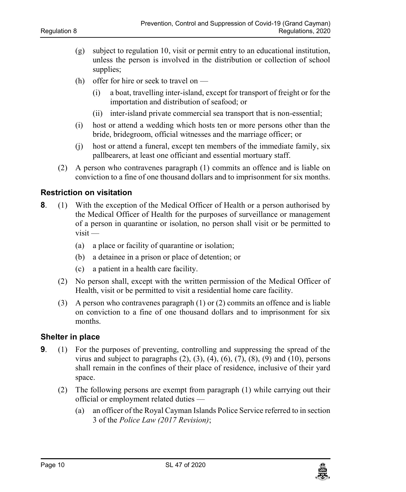- (g) subject to regulation 10, visit or permit entry to an educational institution, unless the person is involved in the distribution or collection of school supplies;
- (h) offer for hire or seek to travel on
	- (i) a boat, travelling inter-island, except for transport of freight or for the importation and distribution of seafood; or
	- (ii) inter-island private commercial sea transport that is non-essential;
- (i) host or attend a wedding which hosts ten or more persons other than the bride, bridegroom, official witnesses and the marriage officer; or
- (j) host or attend a funeral, except ten members of the immediate family, six pallbearers, at least one officiant and essential mortuary staff.
- (2) A person who contravenes paragraph (1) commits an offence and is liable on conviction to a fine of one thousand dollars and to imprisonment for six months.

#### <span id="page-9-0"></span>**8. Restriction on visitation**

- **8**. (1) With the exception of the Medical Officer of Health or a person authorised by the Medical Officer of Health for the purposes of surveillance or management of a person in quarantine or isolation, no person shall visit or be permitted to visit —
	- (a) a place or facility of quarantine or isolation;
	- (b) a detainee in a prison or place of detention; or
	- (c) a patient in a health care facility.
	- (2) No person shall, except with the written permission of the Medical Officer of Health, visit or be permitted to visit a residential home care facility.
	- (3) A person who contravenes paragraph (1) or (2) commits an offence and is liable on conviction to a fine of one thousand dollars and to imprisonment for six months.

#### <span id="page-9-1"></span>**9. Shelter in place**

- **9**. (1) For the purposes of preventing, controlling and suppressing the spread of the virus and subject to paragraphs  $(2)$ ,  $(3)$ ,  $(4)$ ,  $(6)$ ,  $(7)$ ,  $(8)$ ,  $(9)$  and  $(10)$ , persons shall remain in the confines of their place of residence, inclusive of their yard space.
	- (2) The following persons are exempt from paragraph (1) while carrying out their official or employment related duties —
		- (a) an officer of the Royal Cayman Islands Police Service referred to in section 3 of the *Police Law (2017 Revision)*;

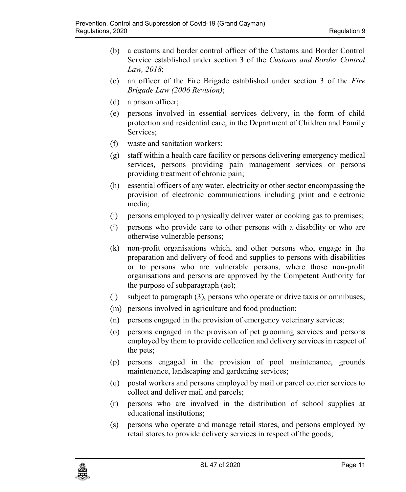- (b) a customs and border control officer of the Customs and Border Control Service established under section 3 of the *Customs and Border Control Law, 2018*;
- (c) an officer of the Fire Brigade established under section 3 of the *Fire Brigade Law (2006 Revision)*;
- (d) a prison officer;
- (e) persons involved in essential services delivery, in the form of child protection and residential care, in the Department of Children and Family Services;
- (f) waste and sanitation workers;
- (g) staff within a health care facility or persons delivering emergency medical services, persons providing pain management services or persons providing treatment of chronic pain;
- (h) essential officers of any water, electricity or other sector encompassing the provision of electronic communications including print and electronic media;
- (i) persons employed to physically deliver water or cooking gas to premises;
- (j) persons who provide care to other persons with a disability or who are otherwise vulnerable persons;
- (k) non-profit organisations which, and other persons who, engage in the preparation and delivery of food and supplies to persons with disabilities or to persons who are vulnerable persons, where those non-profit organisations and persons are approved by the Competent Authority for the purpose of subparagraph (ae);
- (l) subject to paragraph (3), persons who operate or drive taxis or omnibuses;
- (m) persons involved in agriculture and food production;
- (n) persons engaged in the provision of emergency veterinary services;
- (o) persons engaged in the provision of pet grooming services and persons employed by them to provide collection and delivery services in respect of the pets;
- (p) persons engaged in the provision of pool maintenance, grounds maintenance, landscaping and gardening services;
- (q) postal workers and persons employed by mail or parcel courier services to collect and deliver mail and parcels;
- (r) persons who are involved in the distribution of school supplies at educational institutions;
- (s) persons who operate and manage retail stores, and persons employed by retail stores to provide delivery services in respect of the goods;

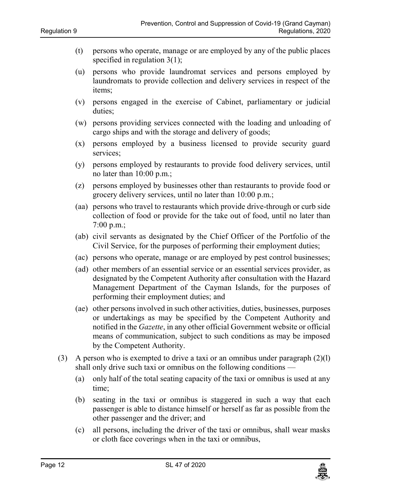- (t) persons who operate, manage or are employed by any of the public places specified in regulation 3(1);
- (u) persons who provide laundromat services and persons employed by laundromats to provide collection and delivery services in respect of the items;
- (v) persons engaged in the exercise of Cabinet, parliamentary or judicial duties;
- (w) persons providing services connected with the loading and unloading of cargo ships and with the storage and delivery of goods;
- (x) persons employed by a business licensed to provide security guard services;
- (y) persons employed by restaurants to provide food delivery services, until no later than 10:00 p.m.;
- (z) persons employed by businesses other than restaurants to provide food or grocery delivery services, until no later than 10:00 p.m.;
- (aa) persons who travel to restaurants which provide drive-through or curb side collection of food or provide for the take out of food, until no later than  $7:00 \text{ p.m.};$
- (ab) civil servants as designated by the Chief Officer of the Portfolio of the Civil Service, for the purposes of performing their employment duties;
- (ac) persons who operate, manage or are employed by pest control businesses;
- (ad) other members of an essential service or an essential services provider, as designated by the Competent Authority after consultation with the Hazard Management Department of the Cayman Islands, for the purposes of performing their employment duties; and
- (ae) other persons involved in such other activities, duties, businesses, purposes or undertakings as may be specified by the Competent Authority and notified in the *Gazette*, in any other official Government website or official means of communication, subject to such conditions as may be imposed by the Competent Authority.
- (3) A person who is exempted to drive a taxi or an omnibus under paragraph  $(2)(l)$ shall only drive such taxi or omnibus on the following conditions —
	- (a) only half of the total seating capacity of the taxi or omnibus is used at any time;
	- (b) seating in the taxi or omnibus is staggered in such a way that each passenger is able to distance himself or herself as far as possible from the other passenger and the driver; and
	- (c) all persons, including the driver of the taxi or omnibus, shall wear masks or cloth face coverings when in the taxi or omnibus,

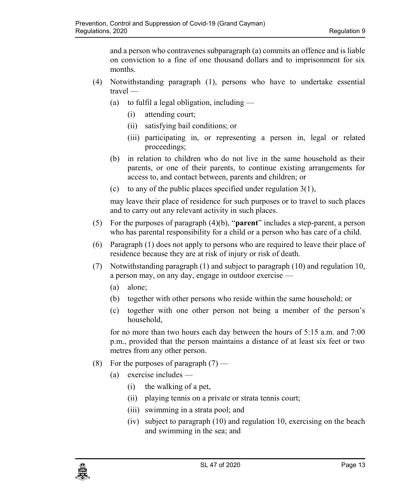and a person who contravenes subparagraph (a) commits an offence and is liable on conviction to a fine of one thousand dollars and to imprisonment for six months.

- (4) Notwithstanding paragraph (1), persons who have to undertake essential travel —
	- (a) to fulfil a legal obligation, including  $-$ 
		- (i) attending court;
		- (ii) satisfying bail conditions; or
		- (iii) participating in, or representing a person in, legal or related proceedings;
	- (b) in relation to children who do not live in the same household as their parents, or one of their parents, to continue existing arrangements for access to, and contact between, parents and children; or
	- (c) to any of the public places specified under regulation  $3(1)$ ,

may leave their place of residence for such purposes or to travel to such places and to carry out any relevant activity in such places.

- (5) For the purposes of paragraph (4)(b), "**parent**" includes a step-parent, a person who has parental responsibility for a child or a person who has care of a child.
- (6) Paragraph (1) does not apply to persons who are required to leave their place of residence because they are at risk of injury or risk of death.
- (7) Notwithstanding paragraph (1) and subject to paragraph (10) and regulation 10, a person may, on any day, engage in outdoor exercise —
	- (a) alone;
	- (b) together with other persons who reside within the same household; or
	- (c) together with one other person not being a member of the person's household,

for no more than two hours each day between the hours of 5:15 a.m. and 7:00 p.m., provided that the person maintains a distance of at least six feet or two metres from any other person.

- (8) For the purposes of paragraph  $(7)$ 
	- (a) exercise includes
		- (i) the walking of a pet,
		- (ii) playing tennis on a private or strata tennis court;
		- (iii) swimming in a strata pool; and
		- (iv) subject to paragraph (10) and regulation 10, exercising on the beach and swimming in the sea; and

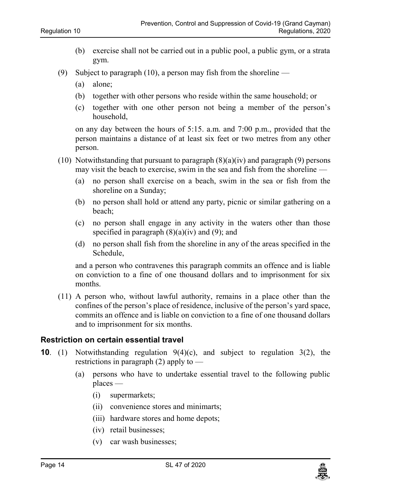- (b) exercise shall not be carried out in a public pool, a public gym, or a strata gym.
- (9) Subject to paragraph (10), a person may fish from the shoreline
	- (a) alone;
	- (b) together with other persons who reside within the same household; or
	- (c) together with one other person not being a member of the person's household,

on any day between the hours of 5:15. a.m. and 7:00 p.m., provided that the person maintains a distance of at least six feet or two metres from any other person.

- (10) Notwithstanding that pursuant to paragraph  $(8)(a)(iv)$  and paragraph (9) persons may visit the beach to exercise, swim in the sea and fish from the shoreline —
	- (a) no person shall exercise on a beach, swim in the sea or fish from the shoreline on a Sunday;
	- (b) no person shall hold or attend any party, picnic or similar gathering on a beach;
	- (c) no person shall engage in any activity in the waters other than those specified in paragraph  $(8)(a)(iv)$  and  $(9)$ ; and
	- (d) no person shall fish from the shoreline in any of the areas specified in the Schedule,

and a person who contravenes this paragraph commits an offence and is liable on conviction to a fine of one thousand dollars and to imprisonment for six months.

(11) A person who, without lawful authority, remains in a place other than the confines of the person's place of residence, inclusive of the person's yard space, commits an offence and is liable on conviction to a fine of one thousand dollars and to imprisonment for six months.

#### <span id="page-13-0"></span>**10. Restriction on certain essential travel**

- **10**. (1) Notwithstanding regulation 9(4)(c), and subject to regulation 3(2), the restrictions in paragraph  $(2)$  apply to —
	- (a) persons who have to undertake essential travel to the following public places —
		- (i) supermarkets;
		- (ii) convenience stores and minimarts;
		- (iii) hardware stores and home depots;
		- (iv) retail businesses;
		- (v) car wash businesses;

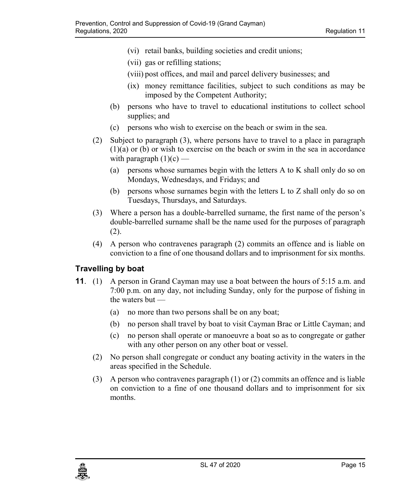- (vi) retail banks, building societies and credit unions;
- (vii) gas or refilling stations;
- (viii) post offices, and mail and parcel delivery businesses; and
- (ix) money remittance facilities, subject to such conditions as may be imposed by the Competent Authority;
- (b) persons who have to travel to educational institutions to collect school supplies; and
- (c) persons who wish to exercise on the beach or swim in the sea.
- (2) Subject to paragraph (3), where persons have to travel to a place in paragraph (1)(a) or (b) or wish to exercise on the beach or swim in the sea in accordance with paragraph  $(1)(c)$  —
	- (a) persons whose surnames begin with the letters A to K shall only do so on Mondays, Wednesdays, and Fridays; and
	- (b) persons whose surnames begin with the letters L to Z shall only do so on Tuesdays, Thursdays, and Saturdays.
- (3) Where a person has a double-barrelled surname, the first name of the person's double-barrelled surname shall be the name used for the purposes of paragraph (2).
- (4) A person who contravenes paragraph (2) commits an offence and is liable on conviction to a fine of one thousand dollars and to imprisonment for six months.

## <span id="page-14-0"></span>**11. Travelling by boat**

- **11**. (1) A person in Grand Cayman may use a boat between the hours of 5:15 a.m. and 7:00 p.m. on any day, not including Sunday, only for the purpose of fishing in the waters but —
	- (a) no more than two persons shall be on any boat;
	- (b) no person shall travel by boat to visit Cayman Brac or Little Cayman; and
	- (c) no person shall operate or manoeuvre a boat so as to congregate or gather with any other person on any other boat or vessel.
	- (2) No person shall congregate or conduct any boating activity in the waters in the areas specified in the Schedule.
	- (3) A person who contravenes paragraph (1) or (2) commits an offence and is liable on conviction to a fine of one thousand dollars and to imprisonment for six months.

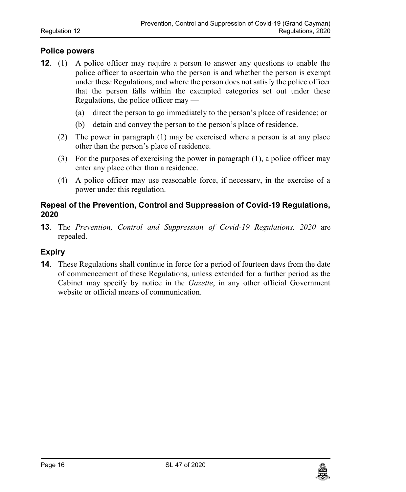### <span id="page-15-0"></span>**12. Police powers**

- **12**. (1) A police officer may require a person to answer any questions to enable the police officer to ascertain who the person is and whether the person is exempt under these Regulations, and where the person does not satisfy the police officer that the person falls within the exempted categories set out under these Regulations, the police officer may —
	- (a) direct the person to go immediately to the person's place of residence; or
	- (b) detain and convey the person to the person's place of residence.
	- (2) The power in paragraph (1) may be exercised where a person is at any place other than the person's place of residence.
	- (3) For the purposes of exercising the power in paragraph (1), a police officer may enter any place other than a residence.
	- (4) A police officer may use reasonable force, if necessary, in the exercise of a power under this regulation.

### <span id="page-15-1"></span>**13. Repeal of the Prevention, Control and Suppression of Covid-19 Regulations, 2020**

**13**. The *Prevention, Control and Suppression of Covid-19 Regulations, 2020* are repealed.

### <span id="page-15-2"></span>**14. Expiry**

**14**. These Regulations shall continue in force for a period of fourteen days from the date of commencement of these Regulations, unless extended for a further period as the Cabinet may specify by notice in the *Gazette*, in any other official Government website or official means of communication.